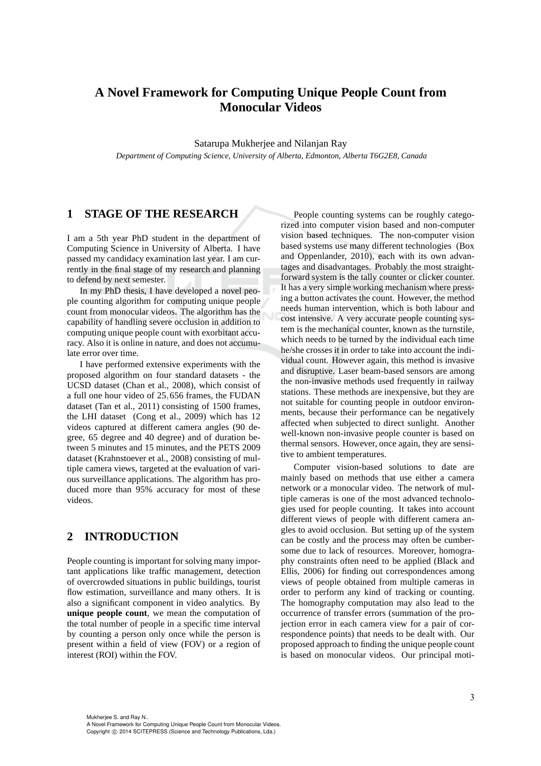# **A Novel Framework for Computing Unique People Count from Monocular Videos**

Satarupa Mukherjee and Nilanjan Ray *Department of Computing Science, University of Alberta, Edmonton, Alberta T6G2E8, Canada*

## **1 STAGE OF THE RESEARCH**

I am a 5th year PhD student in the department of Computing Science in University of Alberta. I have passed my candidacy examination last year. I am currently in the final stage of my research and planning to defend by next semester.

In my PhD thesis, I have developed a novel people counting algorithm for computing unique people count from monocular videos. The algorithm has the capability of handling severe occlusion in addition to computing unique people count with exorbitant accuracy. Also it is online in nature, and does not accumulate error over time.

I have performed extensive experiments with the proposed algorithm on four standard datasets - the UCSD dataset (Chan et al., 2008), which consist of a full one hour video of 25,656 frames, the FUDAN dataset (Tan et al., 2011) consisting of 1500 frames, the LHI dataset (Cong et al., 2009) which has 12 videos captured at different camera angles (90 degree, 65 degree and 40 degree) and of duration between 5 minutes and 15 minutes, and the PETS 2009 dataset (Krahnstoever et al., 2008) consisting of multiple camera views, targeted at the evaluation of various surveillance applications. The algorithm has produced more than 95% accuracy for most of these videos.

# **2 INTRODUCTION**

People counting is important for solving many important applications like traffic management, detection of overcrowded situations in public buildings, tourist flow estimation, surveillance and many others. It is also a significant component in video analytics. By **unique people count**, we mean the computation of the total number of people in a specific time interval by counting a person only once while the person is present within a field of view (FOV) or a region of interest (ROI) within the FOV.

People counting systems can be roughly categorized into computer vision based and non-computer vision based techniques. The non-computer vision based systems use many different technologies (Box and Oppenlander, 2010), each with its own advantages and disadvantages. Probably the most straightforward system is the tally counter or clicker counter. It has a very simple working mechanism where pressing a button activates the count. However, the method needs human intervention, which is both labour and cost intensive. A very accurate people counting system is the mechanical counter, known as the turnstile, which needs to be turned by the individual each time he/she crosses it in order to take into account the individual count. However again, this method is invasive and disruptive. Laser beam-based sensors are among the non-invasive methods used frequently in railway stations. These methods are inexpensive, but they are not suitable for counting people in outdoor environments, because their performance can be negatively affected when subjected to direct sunlight. Another well-known non-invasive people counter is based on thermal sensors. However, once again, they are sensitive to ambient temperatures.

Computer vision-based solutions to date are mainly based on methods that use either a camera network or a monocular video. The network of multiple cameras is one of the most advanced technologies used for people counting. It takes into account different views of people with different camera angles to avoid occlusion. But setting up of the system can be costly and the process may often be cumbersome due to lack of resources. Moreover, homography constraints often need to be applied (Black and Ellis, 2006) for finding out correspondences among views of people obtained from multiple cameras in order to perform any kind of tracking or counting. The homography computation may also lead to the occurrence of transfer errors (summation of the projection error in each camera view for a pair of correspondence points) that needs to be dealt with. Our proposed approach to finding the unique people count is based on monocular videos. Our principal moti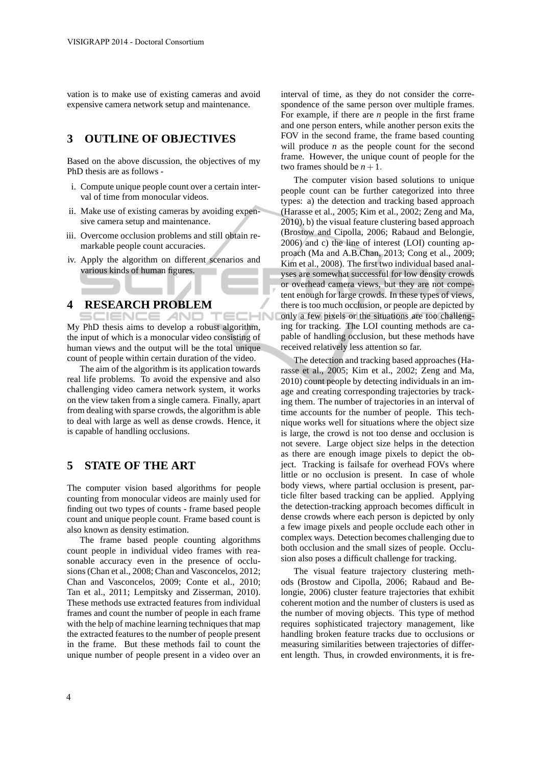vation is to make use of existing cameras and avoid expensive camera network setup and maintenance.

# **3 OUTLINE OF OBJECTIVES**

Based on the above discussion, the objectives of my PhD thesis are as follows -

- i. Compute unique people count over a certain interval of time from monocular videos.
- ii. Make use of existing cameras by avoiding expensive camera setup and maintenance.
- iii. Overcome occlusion problems and still obtain remarkable people count accuracies.
- iv. Apply the algorithm on different scenarios and various kinds of human figures.

### **4 RESEARCH PROBLEM**

SCIENCE *A*ND My PhD thesis aims to develop a robust algorithm, the input of which is a monocular video consisting of human views and the output will be the total unique count of people within certain duration of the video.

The aim of the algorithm is its application towards real life problems. To avoid the expensive and also challenging video camera network system, it works on the view taken from a single camera. Finally, apart from dealing with sparse crowds, the algorithm is able to deal with large as well as dense crowds. Hence, it is capable of handling occlusions.

## **5 STATE OF THE ART**

The computer vision based algorithms for people counting from monocular videos are mainly used for finding out two types of counts - frame based people count and unique people count. Frame based count is also known as density estimation.

The frame based people counting algorithms count people in individual video frames with reasonable accuracy even in the presence of occlusions (Chan et al., 2008; Chan and Vasconcelos, 2012; Chan and Vasconcelos, 2009; Conte et al., 2010; Tan et al., 2011; Lempitsky and Zisserman, 2010). These methods use extracted features from individual frames and count the number of people in each frame with the help of machine learning techniques that map the extracted features to the number of people present in the frame. But these methods fail to count the unique number of people present in a video over an interval of time, as they do not consider the correspondence of the same person over multiple frames. For example, if there are *n* people in the first frame and one person enters, while another person exits the FOV in the second frame, the frame based counting will produce  $n$  as the people count for the second frame. However, the unique count of people for the two frames should be  $n+1$ .

The computer vision based solutions to unique people count can be further categorized into three types: a) the detection and tracking based approach (Harasse et al., 2005; Kim et al., 2002; Zeng and Ma, 2010), b) the visual feature clustering based approach (Brostow and Cipolla, 2006; Rabaud and Belongie, 2006) and c) the line of interest (LOI) counting approach (Ma and A.B.Chan, 2013; Cong et al., 2009; Kim et al., 2008). The first two individual based analyses are somewhat successful for low density crowds or overhead camera views, but they are not competent enough for large crowds. In these types of views, there is too much occlusion, or people are depicted by only a few pixels or the situations are too challenging for tracking. The LOI counting methods are capable of handling occlusion, but these methods have received relatively less attention so far.

The detection and tracking based approaches (Harasse et al., 2005; Kim et al., 2002; Zeng and Ma, 2010) count people by detecting individuals in an image and creating corresponding trajectories by tracking them. The number of trajectories in an interval of time accounts for the number of people. This technique works well for situations where the object size is large, the crowd is not too dense and occlusion is not severe. Large object size helps in the detection as there are enough image pixels to depict the object. Tracking is failsafe for overhead FOVs where little or no occlusion is present. In case of whole body views, where partial occlusion is present, particle filter based tracking can be applied. Applying the detection-tracking approach becomes difficult in dense crowds where each person is depicted by only a few image pixels and people occlude each other in complex ways. Detection becomes challenging due to both occlusion and the small sizes of people. Occlusion also poses a difficult challenge for tracking.

The visual feature trajectory clustering methods (Brostow and Cipolla, 2006; Rabaud and Belongie, 2006) cluster feature trajectories that exhibit coherent motion and the number of clusters is used as the number of moving objects. This type of method requires sophisticated trajectory management, like handling broken feature tracks due to occlusions or measuring similarities between trajectories of different length. Thus, in crowded environments, it is fre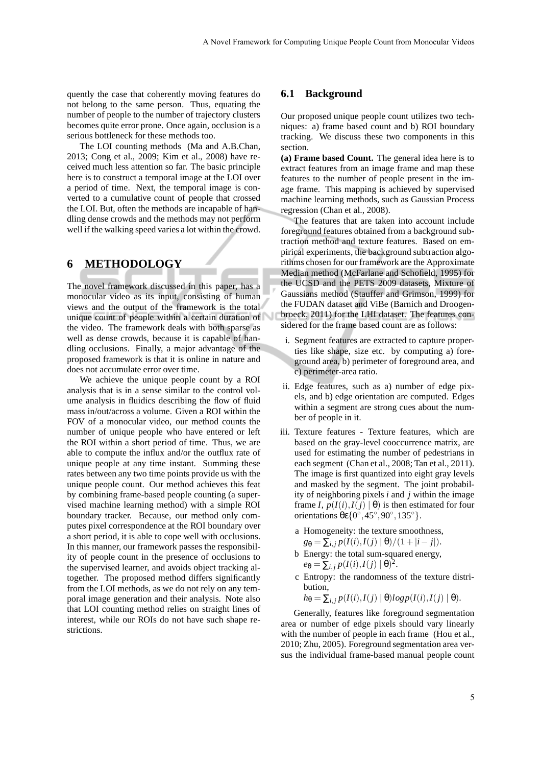quently the case that coherently moving features do not belong to the same person. Thus, equating the number of people to the number of trajectory clusters becomes quite error prone. Once again, occlusion is a serious bottleneck for these methods too.

The LOI counting methods (Ma and A.B.Chan, 2013; Cong et al., 2009; Kim et al., 2008) have received much less attention so far. The basic principle here is to construct a temporal image at the LOI over a period of time. Next, the temporal image is converted to a cumulative count of people that crossed the LOI. But, often the methods are incapable of handling dense crowds and the methods may not perform well if the walking speed varies a lot within the crowd.

## **6 METHODOLOGY**

The novel framework discussed in this paper, has a monocular video as its input, consisting of human views and the output of the framework is the total unique count of people within a certain duration of the video. The framework deals with both sparse as well as dense crowds, because it is capable of handling occlusions. Finally, a major advantage of the proposed framework is that it is online in nature and does not accumulate error over time.

We achieve the unique people count by a ROI analysis that is in a sense similar to the control volume analysis in fluidics describing the flow of fluid mass in/out/across a volume. Given a ROI within the FOV of a monocular video, our method counts the number of unique people who have entered or left the ROI within a short period of time. Thus, we are able to compute the influx and/or the outflux rate of unique people at any time instant. Summing these rates between any two time points provide us with the unique people count. Our method achieves this feat by combining frame-based people counting (a supervised machine learning method) with a simple ROI boundary tracker. Because, our method only computes pixel correspondence at the ROI boundary over a short period, it is able to cope well with occlusions. In this manner, our framework passes the responsibility of people count in the presence of occlusions to the supervised learner, and avoids object tracking altogether. The proposed method differs significantly from the LOI methods, as we do not rely on any temporal image generation and their analysis. Note also that LOI counting method relies on straight lines of interest, while our ROIs do not have such shape restrictions.

#### **6.1 Background**

Our proposed unique people count utilizes two techniques: a) frame based count and b) ROI boundary tracking. We discuss these two components in this section.

**(a) Frame based Count.** The general idea here is to extract features from an image frame and map these features to the number of people present in the image frame. This mapping is achieved by supervised machine learning methods, such as Gaussian Process regression (Chan et al., 2008).

The features that are taken into account include foreground features obtained from a background subtraction method and texture features. Based on empirical experiments, the background subtraction algorithms chosen for our framework are the Approximate Median method (McFarlane and Schofield, 1995) for the UCSD and the PETS 2009 datasets, Mixture of Gaussians method (Stauffer and Grimson, 1999) for the FUDAN dataset and ViBe (Barnich and Droogenbroeck, 2011) for the LHI dataset. The features considered for the frame based count are as follows:

- i. Segment features are extracted to capture properties like shape, size etc. by computing a) foreground area, b) perimeter of foreground area, and c) perimeter-area ratio.
- ii. Edge features, such as a) number of edge pixels, and b) edge orientation are computed. Edges within a segment are strong cues about the number of people in it.
- iii. Texture features Texture features, which are based on the gray-level cooccurrence matrix, are used for estimating the number of pedestrians in each segment (Chan et al., 2008; Tan et al., 2011). The image is first quantized into eight gray levels and masked by the segment. The joint probability of neighboring pixels *i* and *j* within the image frame *I*,  $p(I(i), I(j) | \theta)$  is then estimated for four orientations θε $\{0^\circ, 45^\circ, 90^\circ, 135^\circ\}.$ 
	- a Homogeneity: the texture smoothness,  $g_{\theta} = \sum_{i,j} p(I(i), I(j) | \theta) / (1 + |i - j|).$
	- b Energy: the total sum-squared energy,  $e_{\theta} = \sum_{i,j} p(I(i), I(j) | \theta)^2$ .
	- c Entropy: the randomness of the texture distribution,

$$
h_{\theta} = \sum_{i,j} p(I(i), I(j) | \theta) log p(I(i), I(j) | \theta).
$$

Generally, features like foreground segmentation area or number of edge pixels should vary linearly with the number of people in each frame (Hou et al., 2010; Zhu, 2005). Foreground segmentation area versus the individual frame-based manual people count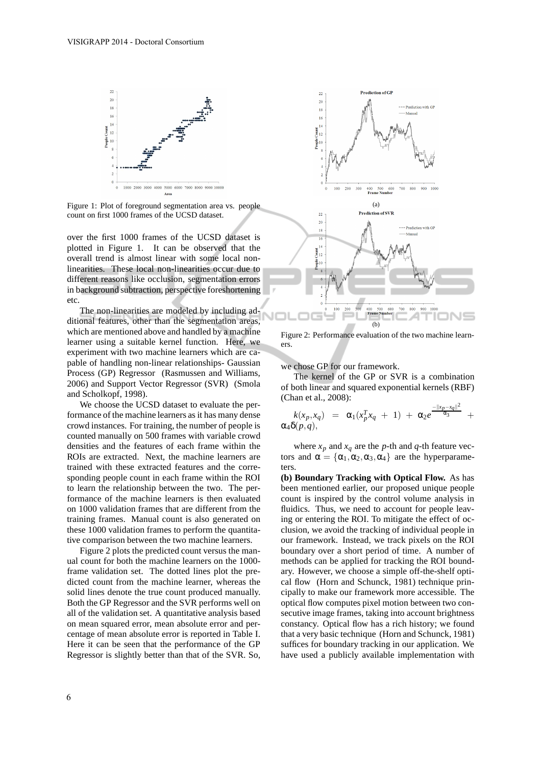

Figure 1: Plot of foreground segmentation area vs. people count on first 1000 frames of the UCSD dataset.

over the first 1000 frames of the UCSD dataset is plotted in Figure 1. It can be observed that the overall trend is almost linear with some local nonlinearities. These local non-linearities occur due to different reasons like occlusion, segmentation errors in background subtraction, perspective foreshortening etc.

The non-linearities are modeled by including additional features, other than the segmentation areas, which are mentioned above and handled by a machine learner using a suitable kernel function. Here, we experiment with two machine learners which are capable of handling non-linear relationships- Gaussian Process (GP) Regressor (Rasmussen and Williams, 2006) and Support Vector Regressor (SVR) (Smola and Scholkopf, 1998).

We choose the UCSD dataset to evaluate the performance of the machine learners as it has many dense crowd instances. For training, the number of people is counted manually on 500 frames with variable crowd densities and the features of each frame within the ROIs are extracted. Next, the machine learners are trained with these extracted features and the corresponding people count in each frame within the ROI to learn the relationship between the two. The performance of the machine learners is then evaluated on 1000 validation frames that are different from the training frames. Manual count is also generated on these 1000 validation frames to perform the quantitative comparison between the two machine learners.

Figure 2 plots the predicted count versus the manual count for both the machine learners on the 1000 frame validation set. The dotted lines plot the predicted count from the machine learner, whereas the solid lines denote the true count produced manually. Both the GP Regressor and the SVR performs well on all of the validation set. A quantitative analysis based on mean squared error, mean absolute error and percentage of mean absolute error is reported in Table I. Here it can be seen that the performance of the GP Regressor is slightly better than that of the SVR. So,



Figure 2: Performance evaluation of the two machine learners.

we chose GP for our framework.

The kernel of the GP or SVR is a combination of both linear and squared exponential kernels (RBF) (Chan et al., 2008):

$$
k(x_p,x_q) = \alpha_1(x_p^Tx_q + 1) + \alpha_2 e^{\frac{-\|x_p-x_q\|^2}{\alpha_3}} + \alpha_4 \delta(p,q),
$$

where  $x_p$  and  $x_q$  are the *p*-th and *q*-th feature vectors and  $\alpha = {\alpha_1, \alpha_2, \alpha_3, \alpha_4}$  are the hyperparameters.

**(b) Boundary Tracking with Optical Flow.** As has been mentioned earlier, our proposed unique people count is inspired by the control volume analysis in fluidics. Thus, we need to account for people leaving or entering the ROI. To mitigate the effect of occlusion, we avoid the tracking of individual people in our framework. Instead, we track pixels on the ROI boundary over a short period of time. A number of methods can be applied for tracking the ROI boundary. However, we choose a simple off-the-shelf optical flow (Horn and Schunck, 1981) technique principally to make our framework more accessible. The optical flow computes pixel motion between two consecutive image frames, taking into account brightness constancy. Optical flow has a rich history; we found that a very basic technique (Horn and Schunck, 1981) suffices for boundary tracking in our application. We have used a publicly available implementation with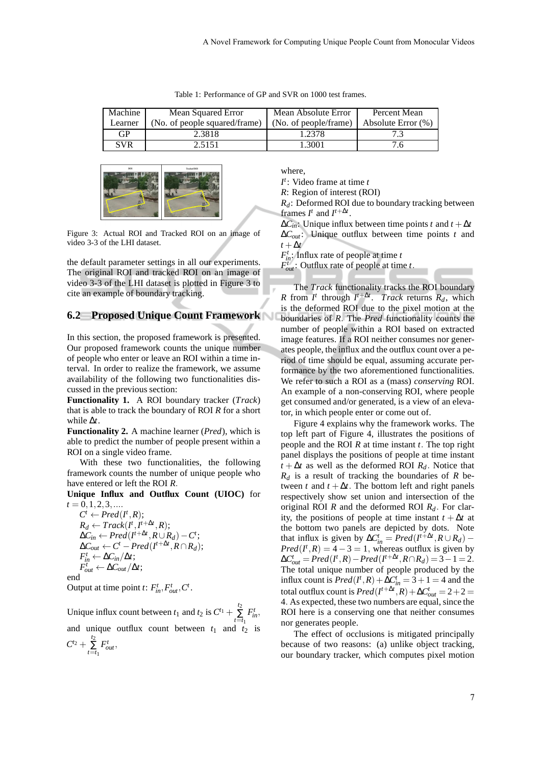| Table 1: Performance of GP and SVR on 1000 test frames. |  |  |
|---------------------------------------------------------|--|--|
|---------------------------------------------------------|--|--|

| Machine | Mean Squared Error            | Mean Absolute Error   | Percent Mean       |
|---------|-------------------------------|-----------------------|--------------------|
| Learner | (No. of people squared/frame) | (No. of people/frame) | Absolute Error (%) |
| GP      | 2.3818                        | 1.2378                |                    |
| SVR     | 2.5151                        | -3001                 |                    |



Figure 3: Actual ROI and Tracked ROI on an image of video 3-3 of the LHI dataset.

the default parameter settings in all our experiments. The original ROI and tracked ROI on an image of video 3-3 of the LHI dataset is plotted in Figure 3 to cite an example of boundary tracking.

#### **6.2 Proposed Unique Count Framework**

In this section, the proposed framework is presented. Our proposed framework counts the unique number of people who enter or leave an ROI within a time interval. In order to realize the framework, we assume availability of the following two functionalities discussed in the previous section:

**Functionality 1.** A ROI boundary tracker (*Track*) that is able to track the boundary of ROI *R* for a short while ∆*t*.

**Functionality 2.** A machine learner (*Pred*), which is able to predict the number of people present within a ROI on a single video frame.

With these two functionalities, the following framework counts the number of unique people who have entered or left the ROI *R*.

**Unique Influx and Outflux Count (UIOC)** for  $t = 0, 1, 2, 3, \dots$ 

 $C^t \leftarrow Pred(I^t, R);$  $R_d \leftarrow \text{Track}(I^t, I^{t+\Delta t}, R);$  $\Delta C_{in}$  ←  $Pred(I^{t+\Delta t}, R \cup R_d) - C^t$ ;  $\Delta C_{out} \leftarrow C^t - Pred(I^{t+\Delta t}, R \cap R_d);$  $F_{in}^t \leftarrow \Delta C_{in}/\Delta t;$  $F_{out}^t \leftarrow \Delta C_{out}/\Delta t;$ end Output at time point *t*:  $F_{in}^t$ ,  $F_{out}^t$ ,  $C^t$ .

Unique influx count between  $t_1$  and  $t_2$  is  $C^{t_1} + \sum_{i=1}^{t_2} C^{t_1}$  $\sum_{t=t_1}$  $F_{in}^t$ , and unique outflux count between  $t_1$  and  $t_2$  is  $C^{t_2} + \sum_{t=t_1}^{t_2}$  $F_{out}^t$ ,

where,

*I t* : Video frame at time *t*

*R*: Region of interest (ROI)

*Rd*: Deformed ROI due to boundary tracking between frames  $I^t$  and  $I^{t + \Delta t}$ .

 $\Delta C$ <sup>*in*</sup>: Unique influx between time points *t* and  $t + \Delta t$ ∆*Cout*: Unique outflux between time points *t* and *t* +∆*t*

*F t in*: Influx rate of people at time *t*

 $F_{out}^t$ : Outflux rate of people at time *t*.

The *Track* functionality tracks the ROI boundary *R* from *I<sup>t</sup>* through *I<sup>t+∆<i>t*</sup></sub>. *Track* returns *R<sub>d</sub>*, which is the deformed ROI due to the pixel motion at the boundaries of *R*. The *Pred* functionality counts the number of people within a ROI based on extracted image features. If a ROI neither consumes nor generates people, the influx and the outflux count over a period of time should be equal, assuming accurate performance by the two aforementioned functionalities. We refer to such a ROI as a (mass) *conserving* ROI. An example of a non-conserving ROI, where people get consumed and/or generated, is a view of an elevator, in which people enter or come out of.

Figure 4 explains why the framework works. The top left part of Figure 4, illustrates the positions of people and the ROI *R* at time instant *t*. The top right panel displays the positions of people at time instant  $t + \Delta t$  as well as the deformed ROI  $R_d$ . Notice that *R<sup>d</sup>* is a result of tracking the boundaries of *R* between *t* and  $t + \Delta t$ . The bottom left and right panels respectively show set union and intersection of the original ROI *R* and the deformed ROI *Rd*. For clarity, the positions of people at time instant  $t + \Delta t$  at the bottom two panels are depicted by dots. Note that influx is given by  $\Delta C_{in}^t = Pred(I^{t+\Delta t}, R \cup R_d)$  –  $Pred(I^t, R) = 4 - 3 = 1$ , whereas outflux is given by  $\Delta C_{out}^t = Pred(I^t, R) - Pred(I^{t + \Delta t}, R \cap R_d) = 3 - 1 = 2.$ The total unique number of people produced by the influx count is  $Pred(I^t, R) + \Delta C_{in}^t = 3 + 1 = 4$  and the total outflux count is  $Pred(I^{t + \Delta t}, R) + \Delta C_{out}^{t} = 2 + 2 = 0$ 4. As expected, these two numbers are equal, since the ROI here is a conserving one that neither consumes nor generates people.

The effect of occlusions is mitigated principally because of two reasons: (a) unlike object tracking, our boundary tracker, which computes pixel motion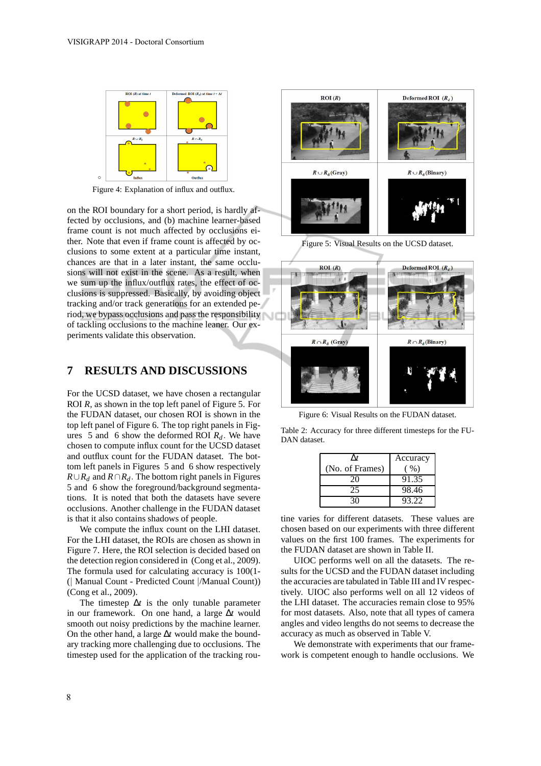

Figure 4: Explanation of influx and outflux.

on the ROI boundary for a short period, is hardly affected by occlusions, and (b) machine learner-based frame count is not much affected by occlusions either. Note that even if frame count is affected by occlusions to some extent at a particular time instant, chances are that in a later instant, the same occlusions will not exist in the scene. As a result, when we sum up the influx/outflux rates, the effect of occlusions is suppressed. Basically, by avoiding object tracking and/or track generations for an extended period, we bypass occlusions and pass the responsibility of tackling occlusions to the machine leaner. Our experiments validate this observation.

### **7 RESULTS AND DISCUSSIONS**

For the UCSD dataset, we have chosen a rectangular ROI *R*, as shown in the top left panel of Figure 5. For the FUDAN dataset, our chosen ROI is shown in the top left panel of Figure 6. The top right panels in Figures 5 and 6 show the deformed ROI *Rd*. We have chosen to compute influx count for the UCSD dataset and outflux count for the FUDAN dataset. The bottom left panels in Figures 5 and 6 show respectively *R*∪*R*<sup> $d$ </sup> and *R*∩*R*<sup> $d$ </sup>. The bottom right panels in Figures 5 and 6 show the foreground/background segmentations. It is noted that both the datasets have severe occlusions. Another challenge in the FUDAN dataset is that it also contains shadows of people.

We compute the influx count on the LHI dataset. For the LHI dataset, the ROIs are chosen as shown in Figure 7. Here, the ROI selection is decided based on the detection region considered in (Cong et al., 2009). The formula used for calculating accuracy is 100(1- (| Manual Count - Predicted Count |/Manual Count)) (Cong et al., 2009).

The timestep  $\Delta t$  is the only tunable parameter in our framework. On one hand, a large ∆*t* would smooth out noisy predictions by the machine learner. On the other hand, a large ∆*t* would make the boundary tracking more challenging due to occlusions. The timestep used for the application of the tracking rou-



Figure 5: Visual Results on the UCSD dataset.



Figure 6: Visual Results on the FUDAN dataset.

Table 2: Accuracy for three different timesteps for the FU-DAN dataset.

| ٨t              | Accuracy |
|-----------------|----------|
| (No. of Frames) | $($ %)   |
| 20              | 91.35    |
| 25              | 98.46    |
|                 | 93.22    |

tine varies for different datasets. These values are chosen based on our experiments with three different values on the first 100 frames. The experiments for the FUDAN dataset are shown in Table II.

UIOC performs well on all the datasets. The results for the UCSD and the FUDAN dataset including the accuracies are tabulated in Table III and IV respectively. UIOC also performs well on all 12 videos of the LHI dataset. The accuracies remain close to 95% for most datasets. Also, note that all types of camera angles and video lengths do not seems to decrease the accuracy as much as observed in Table V.

We demonstrate with experiments that our framework is competent enough to handle occlusions. We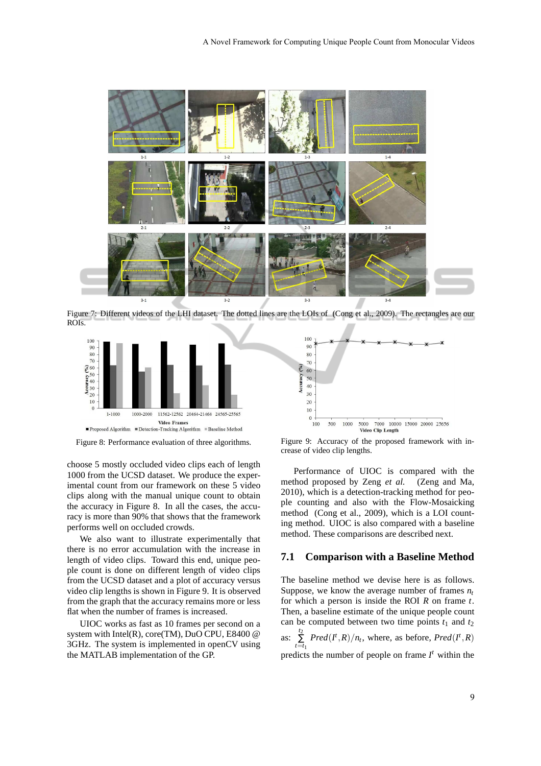

Figure 7: Different videos of the LHI dataset. The dotted lines are the LOIs of (Cong et al., 2009). The rectangles are our ROIs.



Figure 8: Performance evaluation of three algorithms.

choose 5 mostly occluded video clips each of length 1000 from the UCSD dataset. We produce the experimental count from our framework on these 5 video clips along with the manual unique count to obtain the accuracy in Figure 8. In all the cases, the accuracy is more than 90% that shows that the framework performs well on occluded crowds.

We also want to illustrate experimentally that there is no error accumulation with the increase in length of video clips. Toward this end, unique people count is done on different length of video clips from the UCSD dataset and a plot of accuracy versus video clip lengths is shown in Figure 9. It is observed from the graph that the accuracy remains more or less flat when the number of frames is increased.

UIOC works as fast as 10 frames per second on a system with Intel(R), core(TM), DuO CPU, E8400 @ 3GHz. The system is implemented in openCV using the MATLAB implementation of the GP.



Figure 9: Accuracy of the proposed framework with increase of video clip lengths.

Performance of UIOC is compared with the method proposed by Zeng *et al.* (Zeng and Ma, 2010), which is a detection-tracking method for people counting and also with the Flow-Mosaicking method (Cong et al., 2009), which is a LOI counting method. UIOC is also compared with a baseline method. These comparisons are described next.

#### **7.1 Comparison with a Baseline Method**

The baseline method we devise here is as follows. Suppose, we know the average number of frames  $n_t$ for which a person is inside the ROI *R* on frame *t*. Then, a baseline estimate of the unique people count can be computed between two time points  $t_1$  and  $t_2$ as:  $\sum_{t=t_1}^{t_2}$  $Pred(I^t, R)/n_t$ , where, as before,  $Pred(I^t, R)$ predicts the number of people on frame  $I^t$  within the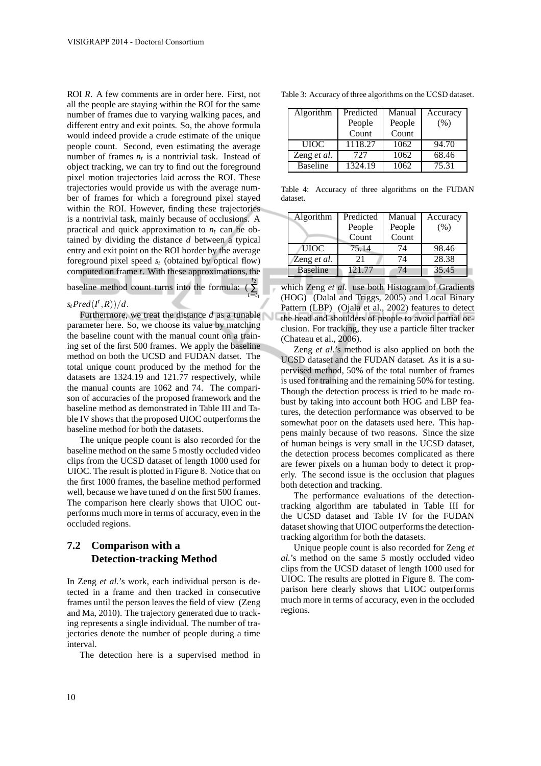ROI *R*. A few comments are in order here. First, not all the people are staying within the ROI for the same number of frames due to varying walking paces, and different entry and exit points. So, the above formula would indeed provide a crude estimate of the unique people count. Second, even estimating the average number of frames  $n_t$  is a nontrivial task. Instead of object tracking, we can try to find out the foreground pixel motion trajectories laid across the ROI. These trajectories would provide us with the average number of frames for which a foreground pixel stayed within the ROI. However, finding these trajectories is a nontrivial task, mainly because of occlusions. A practical and quick approximation to  $n_t$  can be obtained by dividing the distance *d* between a typical entry and exit point on the ROI border by the average foreground pixel speed *s<sup>t</sup>* (obtained by optical flow) computed on frame *t*. With these approximations, the

baseline method count turns into the formula:  $(\sum_{i=1}^{l_2}$ 

*t*=*t*1

### $s_t$ *Pred* $(I^t, R)$ *)*/*d*.

Furthermore, we treat the distance *d* as a tunable parameter here. So, we choose its value by matching the baseline count with the manual count on a training set of the first 500 frames. We apply the baseline method on both the UCSD and FUDAN datset. The total unique count produced by the method for the datasets are 1324.19 and 121.77 respectively, while the manual counts are 1062 and 74. The comparison of accuracies of the proposed framework and the baseline method as demonstrated in Table III and Table IV shows that the proposed UIOC outperforms the baseline method for both the datasets.

The unique people count is also recorded for the baseline method on the same 5 mostly occluded video clips from the UCSD dataset of length 1000 used for UIOC. The result is plotted in Figure 8. Notice that on the first 1000 frames, the baseline method performed well, because we have tuned *d* on the first 500 frames. The comparison here clearly shows that UIOC outperforms much more in terms of accuracy, even in the occluded regions.

## **7.2 Comparison with a Detection-tracking Method**

In Zeng *et al.*'s work, each individual person is detected in a frame and then tracked in consecutive frames until the person leaves the field of view (Zeng and Ma, 2010). The trajectory generated due to tracking represents a single individual. The number of trajectories denote the number of people during a time interval.

The detection here is a supervised method in

|  | Table 3: Accuracy of three algorithms on the UCSD dataset. |  |
|--|------------------------------------------------------------|--|
|  |                                                            |  |

| Algorithm       | Predicted | Manual | Accuracy |
|-----------------|-----------|--------|----------|
|                 | People    | People | (% )     |
|                 | Count     | Count  |          |
| <b>UIOC</b>     | 1118.27   | 1062   | 94.70    |
| Zeng et al.     | 727       | 1062   | 68.46    |
| <b>Baseline</b> | 1324.19   | 1062   | 75.31    |

Table 4: Accuracy of three algorithms on the FUDAN dataset.

| Algorithm       | Predicted | Manual | Accuracy |
|-----------------|-----------|--------|----------|
|                 | People    | People | (%)      |
|                 | Count     | Count  |          |
| UIOC            | 75.14     | 74     | 98.46    |
| Zeng et al.     | 21        | 74     | 28.38    |
| <b>Baseline</b> | 121.77    | 74     | 35.45    |

which Zeng *et al.* use both Histogram of Gradients (HOG) (Dalal and Triggs, 2005) and Local Binary Pattern (LBP) (Ojala et al., 2002) features to detect the head and shoulders of people to avoid partial occlusion. For tracking, they use a particle filter tracker (Chateau et al., 2006).

Zeng *et al.*'s method is also applied on both the UCSD dataset and the FUDAN dataset. As it is a supervised method, 50% of the total number of frames is used for training and the remaining 50% for testing. Though the detection process is tried to be made robust by taking into account both HOG and LBP features, the detection performance was observed to be somewhat poor on the datasets used here. This happens mainly because of two reasons. Since the size of human beings is very small in the UCSD dataset, the detection process becomes complicated as there are fewer pixels on a human body to detect it properly. The second issue is the occlusion that plagues both detection and tracking.

The performance evaluations of the detectiontracking algorithm are tabulated in Table III for the UCSD dataset and Table IV for the FUDAN dataset showing that UIOC outperforms the detectiontracking algorithm for both the datasets.

Unique people count is also recorded for Zeng *et al.*'s method on the same 5 mostly occluded video clips from the UCSD dataset of length 1000 used for UIOC. The results are plotted in Figure 8. The comparison here clearly shows that UIOC outperforms much more in terms of accuracy, even in the occluded regions.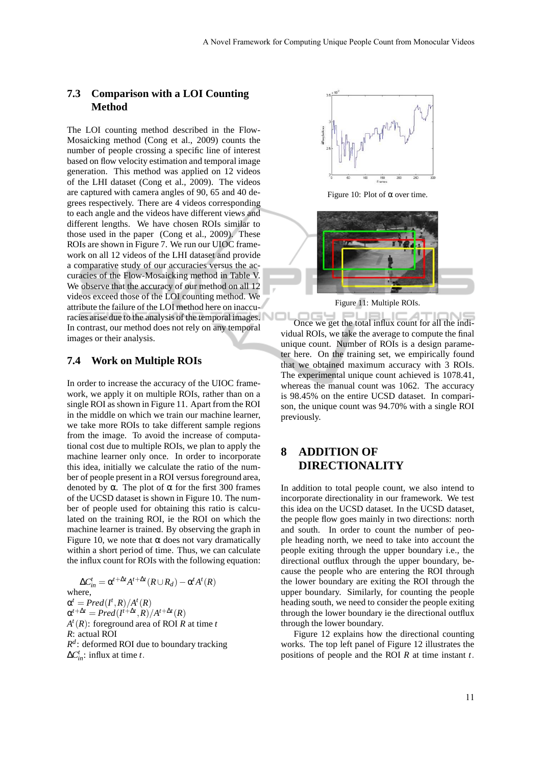### **7.3 Comparison with a LOI Counting Method**

The LOI counting method described in the Flow-Mosaicking method (Cong et al., 2009) counts the number of people crossing a specific line of interest based on flow velocity estimation and temporal image generation. This method was applied on 12 videos of the LHI dataset (Cong et al., 2009). The videos are captured with camera angles of 90, 65 and 40 degrees respectively. There are 4 videos corresponding to each angle and the videos have different views and different lengths. We have chosen ROIs similar to those used in the paper (Cong et al., 2009). These ROIs are shown in Figure 7. We run our UIOC framework on all 12 videos of the LHI dataset and provide a comparative study of our accuracies versus the accuracies of the Flow-Mosaicking method in Table V. We observe that the accuracy of our method on all 12 videos exceed those of the LOI counting method. We attribute the failure of the LOI method here on inaccuracies arise due to the analysis of the temporal images. In contrast, our method does not rely on any temporal images or their analysis.

### **7.4 Work on Multiple ROIs**

In order to increase the accuracy of the UIOC framework, we apply it on multiple ROIs, rather than on a single ROI as shown in Figure 11. Apart from the ROI in the middle on which we train our machine learner, we take more ROIs to take different sample regions from the image. To avoid the increase of computational cost due to multiple ROIs, we plan to apply the machine learner only once. In order to incorporate this idea, initially we calculate the ratio of the number of people present in a ROI versus foreground area, denoted by  $\alpha$ . The plot of  $\alpha$  for the first 300 frames of the UCSD dataset is shown in Figure 10. The number of people used for obtaining this ratio is calculated on the training ROI, ie the ROI on which the machine learner is trained. By observing the graph in Figure 10, we note that  $\alpha$  does not vary dramatically within a short period of time. Thus, we can calculate the influx count for ROIs with the following equation:

 $\Delta C_{in}^t = \alpha^{t+\Delta t} A^{t+\Delta t} (R \cup R_d) - \alpha^t A^t (R)$ where,  $\alpha^t = Pred(I^t, R)/A^t(R)$  $\alpha^{t+\Delta t} = Pred(I^{t+\Delta t}, R)/A^{t+\Delta t}(R)$ *A t* (*R*): foreground area of ROI *R* at time *t R*: actual ROI *R d* : deformed ROI due to boundary tracking  $\Delta C_{in}^t$ : influx at time *t*.



Figure 10: Plot of  $\alpha$  over time.



Figure 11: Multiple ROIs.

Once we get the total influx count for all the indi- $=1.1$ vidual ROIs, we take the average to compute the final unique count. Number of ROIs is a design parameter here. On the training set, we empirically found that we obtained maximum accuracy with 3 ROIs. The experimental unique count achieved is 1078.41, whereas the manual count was 1062. The accuracy is 98.45% on the entire UCSD dataset. In comparison, the unique count was 94.70% with a single ROI previously.

# **8 ADDITION OF DIRECTIONALITY**

In addition to total people count, we also intend to incorporate directionality in our framework. We test this idea on the UCSD dataset. In the UCSD dataset, the people flow goes mainly in two directions: north and south. In order to count the number of people heading north, we need to take into account the people exiting through the upper boundary i.e., the directional outflux through the upper boundary, because the people who are entering the ROI through the lower boundary are exiting the ROI through the upper boundary. Similarly, for counting the people heading south, we need to consider the people exiting through the lower boundary ie the directional outflux through the lower boundary.

Figure 12 explains how the directional counting works. The top left panel of Figure 12 illustrates the positions of people and the ROI *R* at time instant *t*.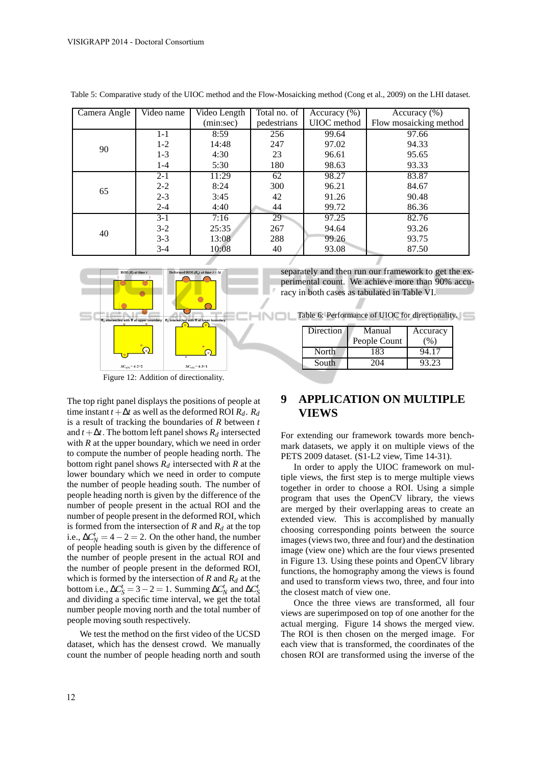| Camera Angle | Video name | Video Length | Total no. of | Accuracy $(\% )$ | Accuracy $(\%)$        |
|--------------|------------|--------------|--------------|------------------|------------------------|
|              |            | (min:sec)    | pedestrians  | UIOC method      | Flow mosaicking method |
|              | 1-1        | 8:59         | 256          | 99.64            | 97.66                  |
| 90           | $1-2$      | 14:48        | 247          | 97.02            | 94.33                  |
|              | $1 - 3$    | 4:30         | 23           | 96.61            | 95.65                  |
|              | 1-4        | 5:30         | 180          | 98.63            | 93.33                  |
|              | $2 - 1$    | 11:29        | 62           | 98.27            | 83.87                  |
| 65           | $2 - 2$    | 8:24         | 300          | 96.21            | 84.67                  |
|              | $2 - 3$    | 3:45         | 42           | 91.26            | 90.48                  |
|              | $2 - 4$    | 4:40         | 44           | 99.72            | 86.36                  |
|              | $3-1$      | 7:16         | 29           | 97.25            | 82.76                  |
| 40           | $3-2$      | 25:35        | 267          | 94.64            | 93.26                  |
|              | $3-3$      | 13:08        | 288          | 99.26            | 93.75                  |
|              | $3-4$      | 10:08        | 40           | 93.08            | 87.50                  |

Table 5: Comparative study of the UIOC method and the Flow-Mosaicking method (Cong et al., 2009) on the LHI dataset.



The top right panel displays the positions of people at time instant  $t + \Delta t$  as well as the deformed ROI  $R_d$ .  $R_d$ is a result of tracking the boundaries of *R* between *t* and  $t + \Delta t$ . The bottom left panel shows  $R_d$  intersected with  $R$  at the upper boundary, which we need in order to compute the number of people heading north. The bottom right panel shows *R<sup>d</sup>* intersected with *R* at the lower boundary which we need in order to compute the number of people heading south. The number of people heading north is given by the difference of the number of people present in the actual ROI and the number of people present in the deformed ROI, which is formed from the intersection of  $R$  and  $R_d$  at the top i.e.,  $\Delta C_N^t = 4 - 2 = 2$ . On the other hand, the number of people heading south is given by the difference of the number of people present in the actual ROI and the number of people present in the deformed ROI, which is formed by the intersection of *R* and *R<sup>d</sup>* at the bottom i.e.,  $\Delta C_S^t = 3 - 2 = 1$ . Summing  $\Delta C_N^t$  and  $\Delta C_S^t$ and dividing a specific time interval, we get the total number people moving north and the total number of people moving south respectively.

We test the method on the first video of the UCSD dataset, which has the densest crowd. We manually count the number of people heading north and south

separately and then run our framework to get the experimental count. We achieve more than 90% accuracy in both cases as tabulated in Table VI.

Table 6: Performance of UIOC for directionality.

| Direction | Manual<br>People Count | Accuracy<br>$\frac{9}{0}$ |
|-----------|------------------------|---------------------------|
| North     | 183                    | 94.17                     |
| South     |                        | 93.23                     |

# **9 APPLICATION ON MULTIPLE VIEWS**

For extending our framework towards more benchmark datasets, we apply it on multiple views of the PETS 2009 dataset. (S1-L2 view, Time 14-31).

In order to apply the UIOC framework on multiple views, the first step is to merge multiple views together in order to choose a ROI. Using a simple program that uses the OpenCV library, the views are merged by their overlapping areas to create an extended view. This is accomplished by manually choosing corresponding points between the source images (views two, three and four) and the destination image (view one) which are the four views presented in Figure 13. Using these points and OpenCV library functions, the homography among the views is found and used to transform views two, three, and four into the closest match of view one.

Once the three views are transformed, all four views are superimposed on top of one another for the actual merging. Figure 14 shows the merged view. The ROI is then chosen on the merged image. For each view that is transformed, the coordinates of the chosen ROI are transformed using the inverse of the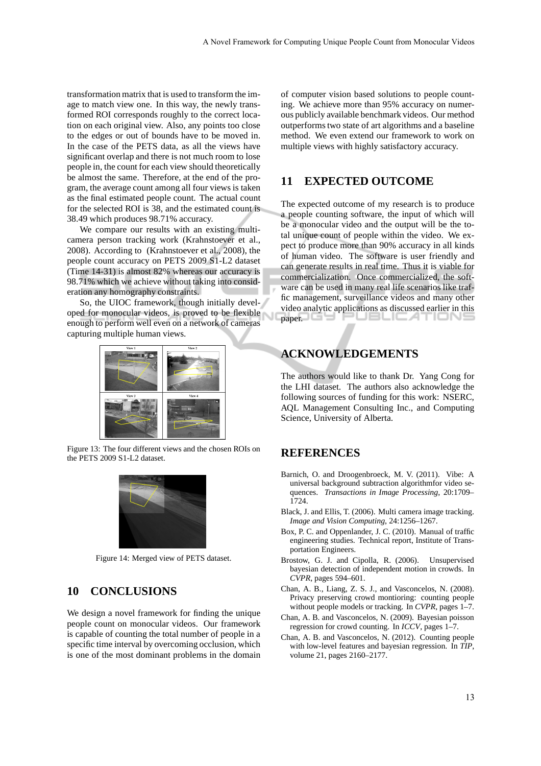transformation matrix that is used to transform the image to match view one. In this way, the newly transformed ROI corresponds roughly to the correct location on each original view. Also, any points too close to the edges or out of bounds have to be moved in. In the case of the PETS data, as all the views have significant overlap and there is not much room to lose people in, the count for each view should theoretically be almost the same. Therefore, at the end of the program, the average count among all four views is taken as the final estimated people count. The actual count for the selected ROI is 38, and the estimated count is 38.49 which produces 98.71% accuracy.

We compare our results with an existing multicamera person tracking work (Krahnstoever et al., 2008). According to (Krahnstoever et al., 2008), the people count accuracy on PETS 2009 S1-L2 dataset (Time 14-31) is almost 82% whereas our accuracy is 98.71% which we achieve without taking into consideration any homography constraints.

So, the UIOC framework, though initially developed for monocular videos, is proved to be flexible enough to perform well even on a network of cameras capturing multiple human views.



Figure 13: The four different views and the chosen ROIs on the PETS 2009 S1-L2 dataset.



Figure 14: Merged view of PETS dataset.

# **10 CONCLUSIONS**

We design a novel framework for finding the unique people count on monocular videos. Our framework is capable of counting the total number of people in a specific time interval by overcoming occlusion, which is one of the most dominant problems in the domain

of computer vision based solutions to people counting. We achieve more than 95% accuracy on numerous publicly available benchmark videos. Our method outperforms two state of art algorithms and a baseline method. We even extend our framework to work on multiple views with highly satisfactory accuracy.

### **11 EXPECTED OUTCOME**

The expected outcome of my research is to produce a people counting software, the input of which will be a monocular video and the output will be the total unique count of people within the video. We expect to produce more than 90% accuracy in all kinds of human video. The software is user friendly and can generate results in real time. Thus it is viable for commercialization. Once commercialized, the software can be used in many real life scenarios like traffic management, surveillance videos and many other video analytic applications as discussed earlier in this paper. 'USLILA I IUN:

## **ACKNOWLEDGEMENTS**

The authors would like to thank Dr. Yang Cong for the LHI dataset. The authors also acknowledge the following sources of funding for this work: NSERC, AQL Management Consulting Inc., and Computing Science, University of Alberta.

## **REFERENCES**

- Barnich, O. and Droogenbroeck, M. V. (2011). Vibe: A universal background subtraction algorithmfor video sequences. *Transactions in Image Processing*, 20:1709– 1724.
- Black, J. and Ellis, T. (2006). Multi camera image tracking. *Image and Vision Computing*, 24:1256–1267.
- Box, P. C. and Oppenlander, J. C. (2010). Manual of traffic engineering studies. Technical report, Institute of Transportation Engineers.
- Brostow, G. J. and Cipolla, R. (2006). Unsupervised bayesian detection of independent motion in crowds. In *CVPR*, pages 594–601.
- Chan, A. B., Liang, Z. S. J., and Vasconcelos, N. (2008). Privacy preserving crowd montioring: counting people without people models or tracking. In *CVPR*, pages 1–7.
- Chan, A. B. and Vasconcelos, N. (2009). Bayesian poisson regression for crowd counting. In *ICCV*, pages 1–7.
- Chan, A. B. and Vasconcelos, N. (2012). Counting people with low-level features and bayesian regression. In *TIP*, volume 21, pages 2160–2177.